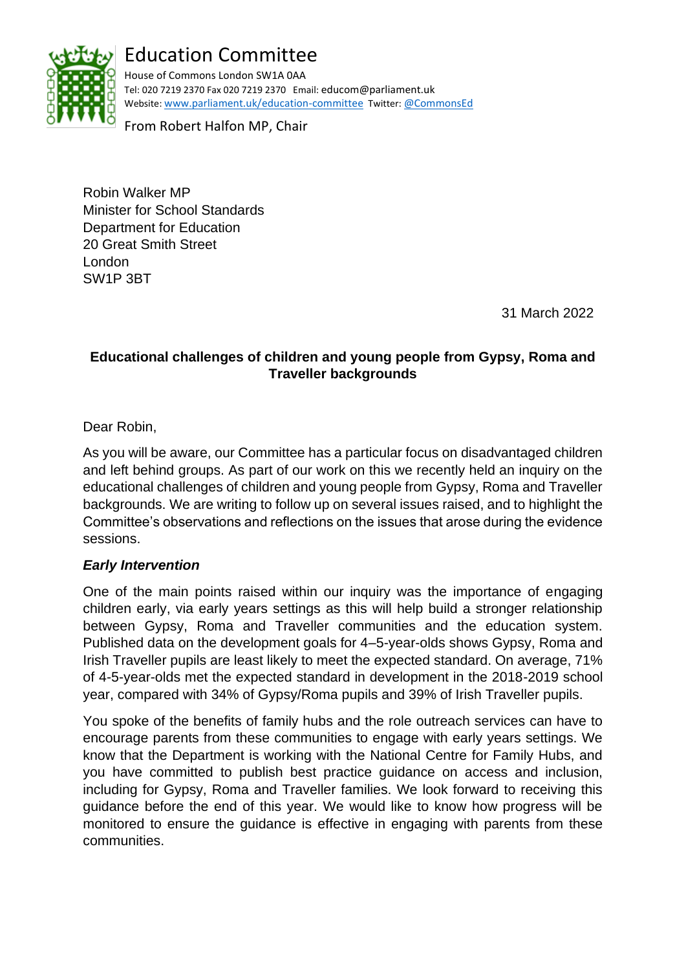

# Education Committee

House of Commons London SW1A 0AA Tel: 020 7219 2370 Fax 020 7219 2370 Email: educom@parliament.uk Website: [www.parliament.uk/education-committee](http://www.parliament.uk/education-committee) Twitter: [@CommonsEd](https://twitter.com/commonsed?lang=en)

From Robert Halfon MP, Chair

Robin Walker MP Minister for School Standards Department for Education 20 Great Smith Street London SW1P 3BT

31 March 2022

# **Educational challenges of children and young people from Gypsy, Roma and Traveller backgrounds**

Dear Robin,

As you will be aware, our Committee has a particular focus on disadvantaged children and left behind groups. As part of our work on this we recently held an inquiry on the educational challenges of children and young people from Gypsy, Roma and Traveller backgrounds. We are writing to follow up on several issues raised, and to highlight the Committee's observations and reflections on the issues that arose during the evidence sessions.

#### *Early Intervention*

One of the main points raised within our inquiry was the importance of engaging children early, via early years settings as this will help build a stronger relationship between Gypsy, Roma and Traveller communities and the education system. Published data on the development goals for 4–5-year-olds shows Gypsy, Roma and Irish Traveller pupils are least likely to meet the expected standard. On average, 71% of 4-5-year-olds met the expected standard in development in the 2018-2019 school year, compared with 34% of Gypsy/Roma pupils and 39% of Irish Traveller pupils.

You spoke of the benefits of family hubs and the role outreach services can have to encourage parents from these communities to engage with early years settings. We know that the Department is working with the National Centre for Family Hubs, and you have committed to publish best practice guidance on access and inclusion, including for Gypsy, Roma and Traveller families. We look forward to receiving this guidance before the end of this year. We would like to know how progress will be monitored to ensure the guidance is effective in engaging with parents from these communities.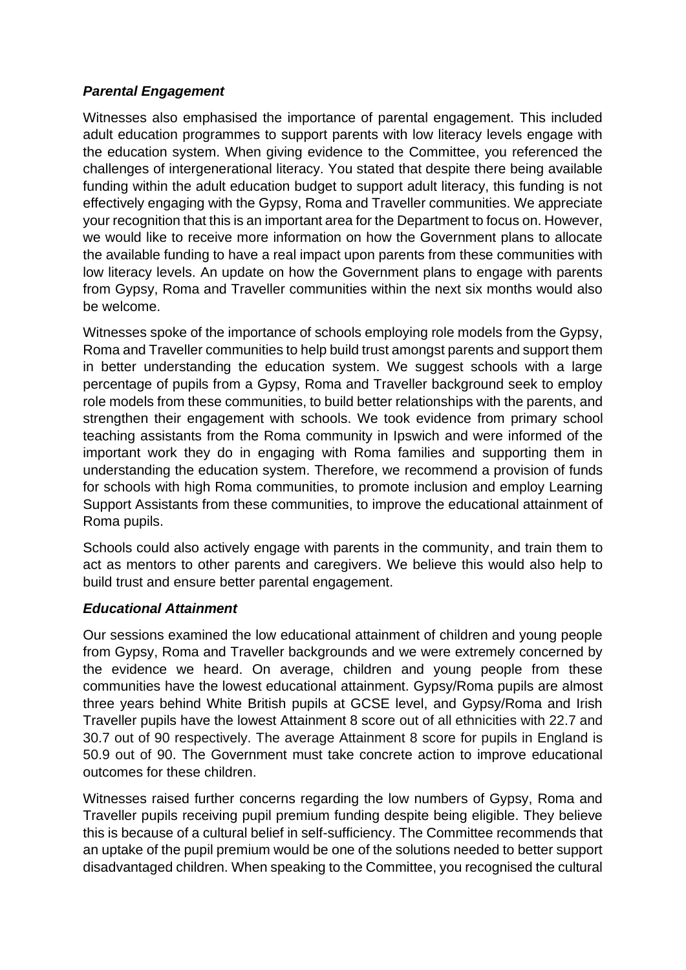# *Parental Engagement*

Witnesses also emphasised the importance of parental engagement. This included adult education programmes to support parents with low literacy levels engage with the education system. When giving evidence to the Committee, you referenced the challenges of intergenerational literacy. You stated that despite there being available funding within the adult education budget to support adult literacy, this funding is not effectively engaging with the Gypsy, Roma and Traveller communities. We appreciate your recognition that this is an important area for the Department to focus on. However, we would like to receive more information on how the Government plans to allocate the available funding to have a real impact upon parents from these communities with low literacy levels. An update on how the Government plans to engage with parents from Gypsy, Roma and Traveller communities within the next six months would also be welcome.

Witnesses spoke of the importance of schools employing role models from the Gypsy, Roma and Traveller communities to help build trust amongst parents and support them in better understanding the education system. We suggest schools with a large percentage of pupils from a Gypsy, Roma and Traveller background seek to employ role models from these communities, to build better relationships with the parents, and strengthen their engagement with schools. We took evidence from primary school teaching assistants from the Roma community in Ipswich and were informed of the important work they do in engaging with Roma families and supporting them in understanding the education system. Therefore, we recommend a provision of funds for schools with high Roma communities, to promote inclusion and employ Learning Support Assistants from these communities, to improve the educational attainment of Roma pupils.

Schools could also actively engage with parents in the community, and train them to act as mentors to other parents and caregivers. We believe this would also help to build trust and ensure better parental engagement.

## *Educational Attainment*

Our sessions examined the low educational attainment of children and young people from Gypsy, Roma and Traveller backgrounds and we were extremely concerned by the evidence we heard. On average, children and young people from these communities have the lowest educational attainment. Gypsy/Roma pupils are almost three years behind White British pupils at GCSE level, and Gypsy/Roma and Irish Traveller pupils have the lowest Attainment 8 score out of all ethnicities with 22.7 and 30.7 out of 90 respectively. The average Attainment 8 score for pupils in England is 50.9 out of 90. The Government must take concrete action to improve educational outcomes for these children.

Witnesses raised further concerns regarding the low numbers of Gypsy, Roma and Traveller pupils receiving pupil premium funding despite being eligible. They believe this is because of a cultural belief in self-sufficiency. The Committee recommends that an uptake of the pupil premium would be one of the solutions needed to better support disadvantaged children. When speaking to the Committee, you recognised the cultural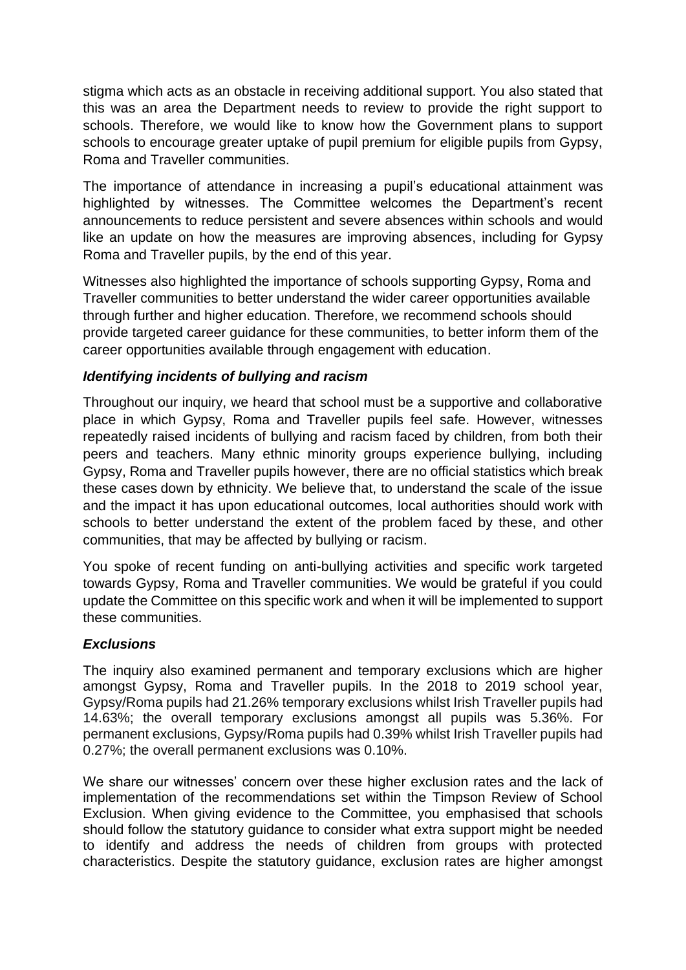stigma which acts as an obstacle in receiving additional support. You also stated that this was an area the Department needs to review to provide the right support to schools. Therefore, we would like to know how the Government plans to support schools to encourage greater uptake of pupil premium for eligible pupils from Gypsy, Roma and Traveller communities.

The importance of attendance in increasing a pupil's educational attainment was highlighted by witnesses. The Committee welcomes the Department's recent announcements to reduce persistent and severe absences within schools and would like an update on how the measures are improving absences, including for Gypsy Roma and Traveller pupils, by the end of this year.

Witnesses also highlighted the importance of schools supporting Gypsy, Roma and Traveller communities to better understand the wider career opportunities available through further and higher education. Therefore, we recommend schools should provide targeted career guidance for these communities, to better inform them of the career opportunities available through engagement with education.

## *Identifying incidents of bullying and racism*

Throughout our inquiry, we heard that school must be a supportive and collaborative place in which Gypsy, Roma and Traveller pupils feel safe. However, witnesses repeatedly raised incidents of bullying and racism faced by children, from both their peers and teachers. Many ethnic minority groups experience bullying, including Gypsy, Roma and Traveller pupils however, there are no official statistics which break these cases down by ethnicity. We believe that, to understand the scale of the issue and the impact it has upon educational outcomes, local authorities should work with schools to better understand the extent of the problem faced by these, and other communities, that may be affected by bullying or racism.

You spoke of recent funding on anti-bullying activities and specific work targeted towards Gypsy, Roma and Traveller communities. We would be grateful if you could update the Committee on this specific work and when it will be implemented to support these communities.

#### *Exclusions*

The inquiry also examined permanent and temporary exclusions which are higher amongst Gypsy, Roma and Traveller pupils. In the 2018 to 2019 school year, Gypsy/Roma pupils had 21.26% temporary exclusions whilst Irish Traveller pupils had 14.63%; the overall temporary exclusions amongst all pupils was 5.36%. For permanent exclusions, Gypsy/Roma pupils had 0.39% whilst Irish Traveller pupils had 0.27%; the overall permanent exclusions was 0.10%.

We share our witnesses' concern over these higher exclusion rates and the lack of implementation of the recommendations set within the Timpson Review of School Exclusion. When giving evidence to the Committee, you emphasised that schools should follow the statutory guidance to consider what extra support might be needed to identify and address the needs of children from groups with protected characteristics. Despite the statutory guidance, exclusion rates are higher amongst